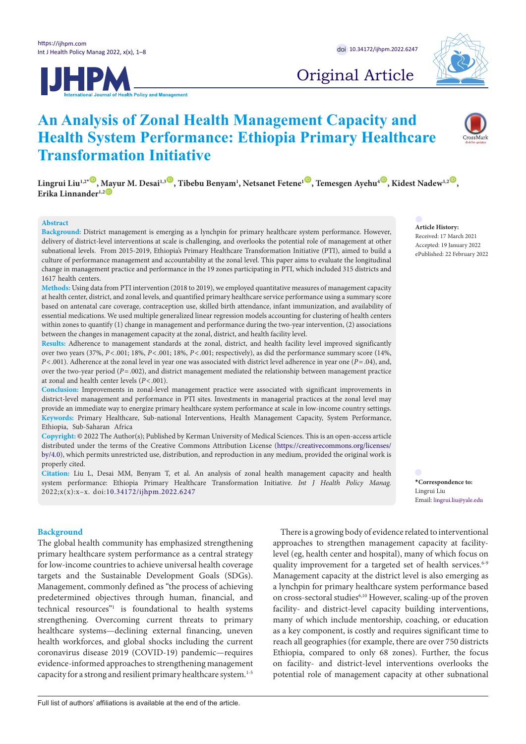



# Original Article

# **An Analysis of Zonal Health Management Capacity and Health System Performance: Ethiopia Primary Healthcare Transformation Initiative**

 $\text{Lingrui Liu}^{1,2^{\ast} \textcircled{\tiny{\textcircled{\tiny{\textcirc}}}}}, \text{Mayur M. Desai}^{1,3^{\textcircled{\tiny{\textcircled{\tiny{\textcirc}}}}}}, \text{Tibebu Benyam}^1}, \text{Netsanet Fetene}^{1^{\textcircled{\tiny{\textcircled{\tiny{\textcirced{\tiny{\textcirc}}}}}}}}, \text{Temesgen Ayehu}^{4^{\textcircled{\tiny{\textcircled{\tiny{\tiny{\textcirced{\tiny{\textcirced{\tiny{\textcirced{\tiny{\textcirced{\tiny{\textcirced{\tiny{\textcirced{\tiny{\textcirced{\tiny{\textcirced{\tiny{\textcirced{\tiny{\textcirced{\tiny{\rm{W}}}}}}}}}}}}}}}}}}$  $\text{Lingrui Liu}^{1,2^{\ast} \textcircled{\tiny{\textcircled{\tiny{\textcirc}}}}}, \text{Mayur M. Desai}^{1,3^{\textcircled{\tiny{\textcircled{\tiny{\textcirc}}}}}}, \text{Tibebu Benyam}^1}, \text{Netsanet Fetene}^{1^{\textcircled{\tiny{\textcircled{\tiny{\textcirced{\tiny{\textcirc}}}}}}}}, \text{Temesgen Ayehu}^{4^{\textcircled{\tiny{\textcircled{\tiny{\tiny{\textcirced{\tiny{\textcirced{\tiny{\textcirced{\tiny{\textcirced{\tiny{\textcirced{\tiny{\textcirced{\tiny{\textcirced{\tiny{\textcirced{\tiny{\textcirced{\tiny{\textcirced{\tiny{\rm{W}}}}}}}}}}}}}}}}}}$  $\text{Lingrui Liu}^{1,2^{\ast} \textcircled{\tiny{\textcircled{\tiny{\textcirc}}}}}, \text{Mayur M. Desai}^{1,3^{\textcircled{\tiny{\textcircled{\tiny{\textcirc}}}}}}, \text{Tibebu Benyam}^1}, \text{Netsanet Fetene}^{1^{\textcircled{\tiny{\textcircled{\tiny{\textcirced{\tiny{\textcirc}}}}}}}}, \text{Temesgen Ayehu}^{4^{\textcircled{\tiny{\textcircled{\tiny{\tiny{\textcirced{\tiny{\textcirced{\tiny{\textcirced{\tiny{\textcirced{\tiny{\textcirced{\tiny{\textcirced{\tiny{\textcirced{\tiny{\textcirced{\tiny{\textcirced{\tiny{\textcirced{\tiny{\rm{W}}}}}}}}}}}}}}}}}}$ Erika Linnander<sup>1,2</sup>

## **Abstract**

**Background:** District management is emerging as a lynchpin for primary healthcare system performance. However, delivery of district-level interventions at scale is challenging, and overlooks the potential role of management at other subnational levels. From 2015-2019, Ethiopia's Primary Healthcare Transformation Initiative (PTI), aimed to build a culture of performance management and accountability at the zonal level. This paper aims to evaluate the longitudinal change in management practice and performance in the 19 zones participating in PTI, which included 315 districts and 1617 health centers.

**Methods:** Using data from PTI intervention (2018 to 2019), we employed quantitative measures of management capacity at health center, district, and zonal levels, and quantified primary healthcare service performance using a summary score based on antenatal care coverage, contraception use, skilled birth attendance, infant immunization, and availability of essential medications. We used multiple generalized linear regression models accounting for clustering of health centers within zones to quantify (1) change in management and performance during the two-year intervention, (2) associations between the changes in management capacity at the zonal, district, and health facility level.

**Results:** Adherence to management standards at the zonal, district, and health facility level improved significantly over two years (37%, *P*<.001; 18%, *P*<.001; 18%, *P*<.001; respectively), as did the performance summary score (14%, *P* <.001). Adherence at the zonal level in year one was associated with district level adherence in year one (*P* = .04), and, over the two-year period (*P*=.002), and district management mediated the relationship between management practice at zonal and health center levels (*P*<.001).

**Conclusion:** Improvements in zonal-level management practice were associated with significant improvements in district-level management and performance in PTI sites. Investments in managerial practices at the zonal level may provide an immediate way to energize primary healthcare system performance at scale in low-income country settings. **Keywords:** Primary Healthcare, Sub-national Interventions, Health Management Capacity, System Performance, Ethiopia, Sub-Saharan Africa

**Copyright:** © 2022 The Author(s); Published by Kerman University of Medical Sciences. This is an open-access article distributed under the terms of the Creative Commons Attribution License ([https://creativecommons.org/licenses/](https://creativecommons.org/licenses/by/4.0/) [by/4.0](https://creativecommons.org/licenses/by/4.0/)), which permits unrestricted use, distribution, and reproduction in any medium, provided the original work is properly cited.

**Citation:** Liu L, Desai MM, Benyam T, et al. An analysis of zonal health management capacity and health system performance: Ethiopia Primary Healthcare Transformation Initiative. *Int J Health Policy Manag.* 2022;x(x):x–x. doi:[10.34172/ijhpm.2022.6247](https://doi.org/10.34172/ijhpm.2022.6247)

## **Background**

The global health community has emphasized strengthening primary healthcare system performance as a central strategy for low-income countries to achieve universal health coverage targets and the Sustainable Development Goals (SDGs). Management, commonly defined as "the process of achieving predetermined objectives through human, financial, and technical resources"1 is foundational to health systems strengthening. Overcoming current threats to primary healthcare systems—declining external financing, uneven health workforces, and global shocks including the current coronavirus disease 2019 (COVID-19) pandemic—requires evidence-informed approaches to strengthening management capacity for a strong and resilient primary healthcare system.1-5

There is a growing body of evidence related to interventional approaches to strengthen management capacity at facilitylevel (eg, health center and hospital), many of which focus on quality improvement for a targeted set of health services.<sup>6-9</sup> Management capacity at the district level is also emerging as a lynchpin for primary healthcare system performance based on cross-sectoral studies<sup>6,10</sup> However, scaling-up of the proven facility- and district-level capacity building interventions, many of which include mentorship, coaching, or education as a key component, is costly and requires significant time to reach all geographies (for example, there are over 750 districts Ethiopia, compared to only 68 zones). Further, the focus on facility- and district-level interventions overlooks the potential role of management capacity at other subnational

#### **Article History:** Received: 17 March 2021 Accepted: 19 January 2022 ePublished: 22 February 2022

<span id="page-0-0"></span>**\*Correspondence to:** Lingrui Liu Email: lingrui.liu@yale.edu

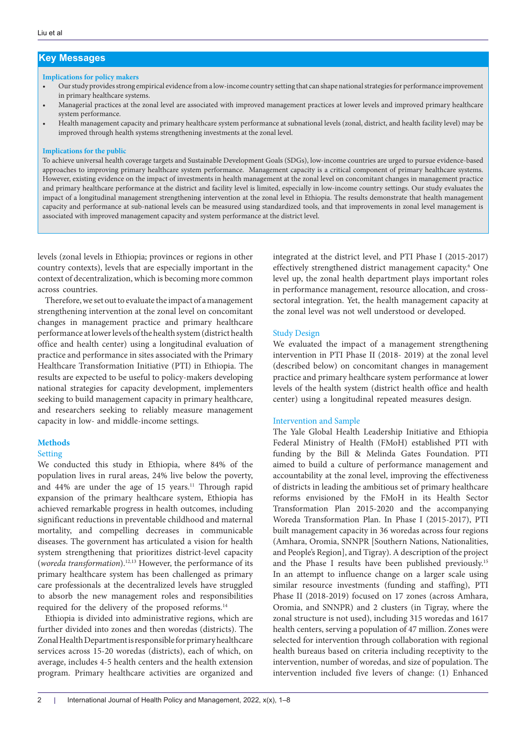# **Key Messages**

## **Implications for policy makers**

- Our study provides strong empirical evidence from a low-income country setting that can shape national strategies for performance improvement in primary healthcare systems.
- Managerial practices at the zonal level are associated with improved management practices at lower levels and improved primary healthcare system performance.
- Health management capacity and primary healthcare system performance at subnational levels (zonal, district, and health facility level) may be improved through health systems strengthening investments at the zonal level.

## **Implications for the public**

To achieve universal health coverage targets and Sustainable Development Goals (SDGs), low-income countries are urged to pursue evidence-based approaches to improving primary healthcare system performance. Management capacity is a critical component of primary healthcare systems. However, existing evidence on the impact of investments in health management at the zonal level on concomitant changes in management practice and primary healthcare performance at the district and facility level is limited, especially in low-income country settings. Our study evaluates the impact of a longitudinal management strengthening intervention at the zonal level in Ethiopia. The results demonstrate that health management capacity and performance at sub-national levels can be measured using standardized tools, and that improvements in zonal level management is associated with improved management capacity and system performance at the district level.

levels (zonal levels in Ethiopia; provinces or regions in other country contexts), levels that are especially important in the context of decentralization, which is becoming more common across countries.

Therefore, we set out to evaluate the impact of a management strengthening intervention at the zonal level on concomitant changes in management practice and primary healthcare performance at lower levels of the health system (district health office and health center) using a longitudinal evaluation of practice and performance in sites associated with the Primary Healthcare Transformation Initiative (PTI) in Ethiopia. The results are expected to be useful to policy-makers developing national strategies for capacity development, implementers seeking to build management capacity in primary healthcare, and researchers seeking to reliably measure management capacity in low- and middle-income settings.

# **Methods**

## Setting

We conducted this study in Ethiopia, where 84% of the population lives in rural areas, 24% live below the poverty, and 44% are under the age of 15 years.<sup>11</sup> Through rapid expansion of the primary healthcare system, Ethiopia has achieved remarkable progress in health outcomes, including significant reductions in preventable childhood and maternal mortality, and compelling decreases in communicable diseases. The government has articulated a vision for health system strengthening that prioritizes district-level capacity (*woreda transformation*).12,13 However, the performance of its primary healthcare system has been challenged as primary care professionals at the decentralized levels have struggled to absorb the new management roles and responsibilities required for the delivery of the proposed reforms.<sup>14</sup>

Ethiopia is divided into administrative regions, which are further divided into zones and then woredas (districts). The Zonal Health Department is responsible for primary healthcare services across 15-20 woredas (districts), each of which, on average, includes 4-5 health centers and the health extension program. Primary healthcare activities are organized and integrated at the district level, and PTI Phase I (2015-2017) effectively strengthened district management capacity.<sup>6</sup> One level up, the zonal health department plays important roles in performance management, resource allocation, and crosssectoral integration. Yet, the health management capacity at the zonal level was not well understood or developed.

## Study Design

We evaluated the impact of a management strengthening intervention in PTI Phase II (2018- 2019) at the zonal level (described below) on concomitant changes in management practice and primary healthcare system performance at lower levels of the health system (district health office and health center) using a longitudinal repeated measures design.

## Intervention and Sample

The Yale Global Health Leadership Initiative and Ethiopia Federal Ministry of Health (FMoH) established PTI with funding by the Bill & Melinda Gates Foundation. PTI aimed to build a culture of performance management and accountability at the zonal level, improving the effectiveness of districts in leading the ambitious set of primary healthcare reforms envisioned by the FMoH in its Health Sector Transformation Plan 2015-2020 and the accompanying Woreda Transformation Plan. In Phase I (2015-2017), PTI built management capacity in 36 woredas across four regions (Amhara, Oromia, SNNPR [Southern Nations, Nationalities, and People's Region], and Tigray). A description of the project and the Phase I results have been published previously.15 In an attempt to influence change on a larger scale using similar resource investments (funding and staffing), PTI Phase II (2018-2019) focused on 17 zones (across Amhara, Oromia, and SNNPR) and 2 clusters (in Tigray, where the zonal structure is not used), including 315 woredas and 1617 health centers, serving a population of 47 million. Zones were selected for intervention through collaboration with regional health bureaus based on criteria including receptivity to the intervention, number of woredas, and size of population. The intervention included five levers of change: (1) Enhanced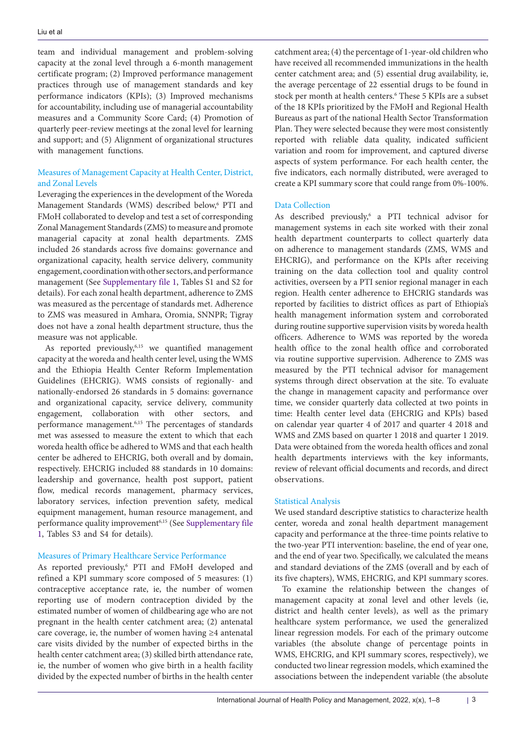team and individual management and problem-solving capacity at the zonal level through a 6-month management certificate program; (2) Improved performance management practices through use of management standards and key performance indicators (KPIs); (3) Improved mechanisms for accountability, including use of managerial accountability measures and a Community Score Card; (4) Promotion of quarterly peer-review meetings at the zonal level for learning and support; and (5) Alignment of organizational structures with management functions.

# Measures of Management Capacity at Health Center, District, and Zonal Levels

Leveraging the experiences in the development of the Woreda Management Standards (WMS) described below,<sup>6</sup> PTI and FMoH collaborated to develop and test a set of corresponding Zonal Management Standards (ZMS) to measure and promote managerial capacity at zonal health departments. ZMS included 26 standards across five domains: governance and organizational capacity, health service delivery, community engagement, coordination with other sectors, and performance management (See [Supplementary file 1,](#page-7-0) Tables S1 and S2 for details). For each zonal health department, adherence to ZMS was measured as the percentage of standards met. Adherence to ZMS was measured in Amhara, Oromia, SNNPR; Tigray does not have a zonal health department structure, thus the measure was not applicable.

As reported previously,<sup>6,15</sup> we quantified management capacity at the woreda and health center level, using the WMS and the Ethiopia Health Center Reform Implementation Guidelines (EHCRIG). WMS consists of regionally- and nationally-endorsed 26 standards in 5 domains: governance and organizational capacity, service delivery, community engagement, collaboration with other sectors, and performance management.6,15 The percentages of standards met was assessed to measure the extent to which that each woreda health office be adhered to WMS and that each health center be adhered to EHCRIG, both overall and by domain, respectively. EHCRIG included 88 standards in 10 domains: leadership and governance, health post support, patient flow, medical records management, pharmacy services, laboratory services, infection prevention safety, medical equipment management, human resource management, and performance quality improvement<sup>6,15</sup> (See [Supplementary file](#page-7-0) [1](#page-7-0), Tables S3 and S4 for details).

# Measures of Primary Healthcare Service Performance

As reported previously,<sup>6</sup> PTI and FMoH developed and refined a KPI summary score composed of 5 measures: (1) contraceptive acceptance rate, ie, the number of women reporting use of modern contraception divided by the estimated number of women of childbearing age who are not pregnant in the health center catchment area; (2) antenatal care coverage, ie, the number of women having ≥4 antenatal care visits divided by the number of expected births in the health center catchment area; (3) skilled birth attendance rate, ie, the number of women who give birth in a health facility divided by the expected number of births in the health center

catchment area; (4) the percentage of 1-year-old children who have received all recommended immunizations in the health center catchment area; and (5) essential drug availability, ie, the average percentage of 22 essential drugs to be found in stock per month at health centers.<sup>6</sup> These 5 KPIs are a subset of the 18 KPIs prioritized by the FMoH and Regional Health Bureaus as part of the national Health Sector Transformation Plan. They were selected because they were most consistently reported with reliable data quality, indicated sufficient variation and room for improvement, and captured diverse aspects of system performance. For each health center, the five indicators, each normally distributed, were averaged to create a KPI summary score that could range from 0%-100%.

# Data Collection

As described previously,<sup>6</sup> a PTI technical advisor for management systems in each site worked with their zonal health department counterparts to collect quarterly data on adherence to management standards (ZMS, WMS and EHCRIG), and performance on the KPIs after receiving training on the data collection tool and quality control activities, overseen by a PTI senior regional manager in each region. Health center adherence to EHCRIG standards was reported by facilities to district offices as part of Ethiopia's health management information system and corroborated during routine supportive supervision visits by woreda health officers. Adherence to WMS was reported by the woreda health office to the zonal health office and corroborated via routine supportive supervision. Adherence to ZMS was measured by the PTI technical advisor for management systems through direct observation at the site. To evaluate the change in management capacity and performance over time, we consider quarterly data collected at two points in time: Health center level data (EHCRIG and KPIs) based on calendar year quarter 4 of 2017 and quarter 4 2018 and WMS and ZMS based on quarter 1 2018 and quarter 1 2019. Data were obtained from the woreda health offices and zonal health departments interviews with the key informants, review of relevant official documents and records, and direct observations.

# Statistical Analysis

We used standard descriptive statistics to characterize health center, woreda and zonal health department management capacity and performance at the three-time points relative to the two-year PTI intervention: baseline, the end of year one, and the end of year two. Specifically, we calculated the means and standard deviations of the ZMS (overall and by each of its five chapters), WMS, EHCRIG, and KPI summary scores.

To examine the relationship between the changes of management capacity at zonal level and other levels (ie, district and health center levels), as well as the primary healthcare system performance, we used the generalized linear regression models. For each of the primary outcome variables (the absolute change of percentage points in WMS, EHCRIG, and KPI summary scores, respectively), we conducted two linear regression models, which examined the associations between the independent variable (the absolute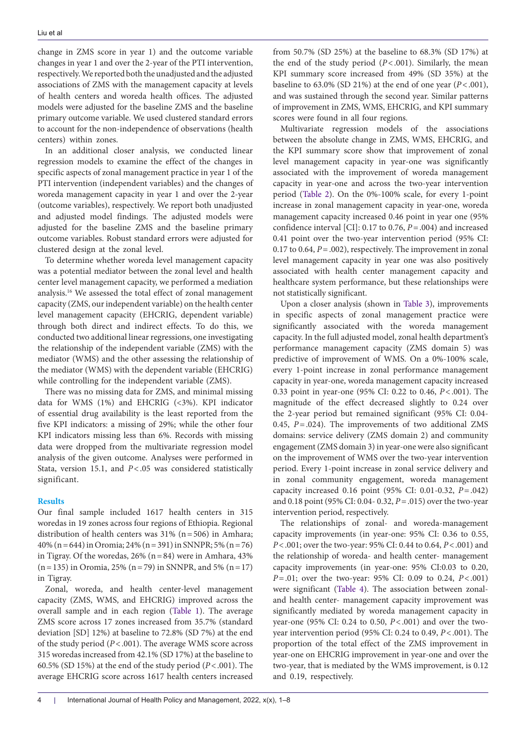change in ZMS score in year 1) and the outcome variable changes in year 1 and over the 2-year of the PTI intervention, respectively. We reported both the unadjusted and the adjusted associations of ZMS with the management capacity at levels of health centers and woreda health offices. The adjusted models were adjusted for the baseline ZMS and the baseline primary outcome variable. We used clustered standard errors to account for the non-independence of observations (health centers) within zones.

In an additional closer analysis, we conducted linear regression models to examine the effect of the changes in specific aspects of zonal management practice in year 1 of the PTI intervention (independent variables) and the changes of woreda management capacity in year 1 and over the 2-year (outcome variables), respectively. We report both unadjusted and adjusted model findings. The adjusted models were adjusted for the baseline ZMS and the baseline primary outcome variables. Robust standard errors were adjusted for clustered design at the zonal level.

To determine whether woreda level management capacity was a potential mediator between the zonal level and health center level management capacity, we performed a mediation analysis.16 We assessed the total effect of zonal management capacity (ZMS, our independent variable) on the health center level management capacity (EHCRIG, dependent variable) through both direct and indirect effects. To do this, we conducted two additional linear regressions, one investigating the relationship of the independent variable (ZMS) with the mediator (WMS) and the other assessing the relationship of the mediator (WMS) with the dependent variable (EHCRIG) while controlling for the independent variable (ZMS).

There was no missing data for ZMS, and minimal missing data for WMS (1%) and EHCRIG (<3%). KPI indicator of essential drug availability is the least reported from the five KPI indicators: a missing of 29%; while the other four KPI indicators missing less than 6%. Records with missing data were dropped from the multivariate regression model analysis of the given outcome. Analyses were performed in Stata, version 15.1, and *P*<.05 was considered statistically significant.

## **Results**

Our final sample included 1617 health centers in 315 woredas in 19 zones across four regions of Ethiopia. Regional distribution of health centers was 31% (n=506) in Amhara; 40% (n=644) in Oromia; 24% (n=391) in SNNPR; 5% (n=76) in Tigray. Of the woredas, 26% (n=84) were in Amhara, 43%  $(n=135)$  in Oromia, 25%  $(n=79)$  in SNNPR, and 5%  $(n=17)$ in Tigray.

Zonal, woreda, and health center-level management capacity (ZMS, WMS, and EHCRIG) improved across the overall sample and in each region [\(Table 1\)](#page-4-0). The average ZMS score across 17 zones increased from 35.7% (standard deviation [SD] 12%) at baseline to 72.8% (SD 7%) at the end of the study period (*P*<.001). The average WMS score across 315 woredas increased from 42.1% (SD 17%) at the baseline to 60.5% (SD 15%) at the end of the study period (*P*<.001). The average EHCRIG score across 1617 health centers increased

from 50.7% (SD 25%) at the baseline to 68.3% (SD 17%) at the end of the study period (*P*<.001). Similarly, the mean KPI summary score increased from 49% (SD 35%) at the baseline to  $63.0\%$  (SD 21%) at the end of one year ( $P < .001$ ), and was sustained through the second year. Similar patterns of improvement in ZMS, WMS, EHCRIG, and KPI summary scores were found in all four regions.

Multivariate regression models of the associations between the absolute change in ZMS, WMS, EHCRIG, and the KPI summary score show that improvement of zonal level management capacity in year-one was significantly associated with the improvement of woreda management capacity in year-one and across the two-year intervention period ([Table 2\)](#page-5-0). On the 0%-100% scale, for every 1-point increase in zonal management capacity in year-one, woreda management capacity increased 0.46 point in year one (95% confidence interval [CI]: 0.17 to 0.76, *P*=.004) and increased 0.41 point over the two-year intervention period (95% CI: 0.17 to 0.64, *P*=.002), respectively. The improvement in zonal level management capacity in year one was also positively associated with health center management capacity and healthcare system performance, but these relationships were not statistically significant.

Upon a closer analysis (shown in [Table 3](#page-5-1)), improvements in specific aspects of zonal management practice were significantly associated with the woreda management capacity. In the full adjusted model, zonal health department's performance management capacity (ZMS domain 5) was predictive of improvement of WMS. On a 0%-100% scale, every 1-point increase in zonal performance management capacity in year-one, woreda management capacity increased 0.33 point in year-one (95% CI: 0.22 to 0.46, *P*<.001). The magnitude of the effect decreased slightly to 0.24 over the 2-year period but remained significant (95% CI: 0.04- 0.45, *P*=.024). The improvements of two additional ZMS domains: service delivery (ZMS domain 2) and community engagement (ZMS domain 3) in year-one were also significant on the improvement of WMS over the two-year intervention period. Every 1-point increase in zonal service delivery and in zonal community engagement, woreda management capacity increased 0.16 point (95% CI: 0.01-0.32, *P*=.042) and 0.18 point (95% CI: 0.04- 0.32, *P*=.015) over the two-year intervention period, respectively.

The relationships of zonal- and woreda-management capacity improvements (in year-one: 95% CI: 0.36 to 0.55, *P*<.001; over the two-year: 95% CI: 0.44 to 0.64, *P*<.001) and the relationship of woreda- and health center- management capacity improvements (in year-one: 95% CI:0.03 to 0.20, *P*=.01; over the two-year: 95% CI: 0.09 to 0.24, *P*<.001) were significant ([Table 4\)](#page-6-0). The association between zonaland health center- management capacity improvement was significantly mediated by woreda management capacity in year-one (95% CI: 0.24 to 0.50, *P*<.001) and over the twoyear intervention period (95% CI: 0.24 to 0.49, *P*<.001). The proportion of the total effect of the ZMS improvement in year-one on EHCRIG improvement in year-one and over the two-year, that is mediated by the WMS improvement, is 0.12 and 0.19, respectively.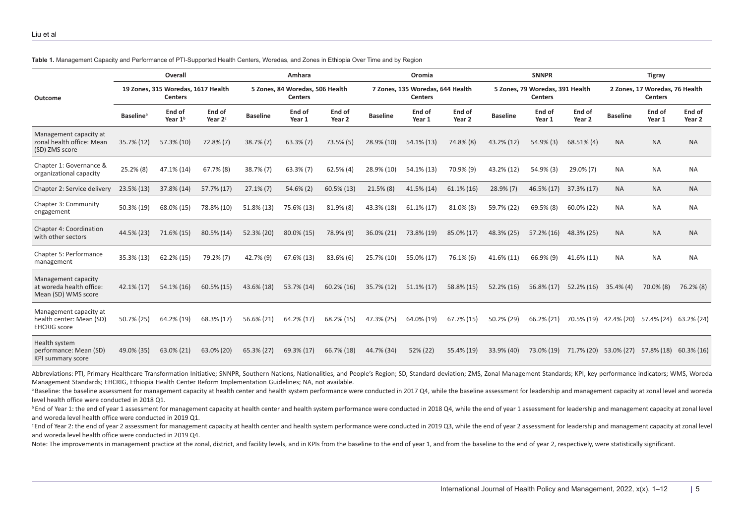**Table 1.** Management Capacity and Performance of PTI-Supported Health Centers, Woredas, and Zones in Ethiopia Over Time and by Region

| Outcome                                                                   |                                                      | Overall                       |                                                   |                 | Amhara                                             |                             |                                                   | Oromia           |                                                  |                 | <b>SNNPR</b>     |                  |                 | <b>Tigray</b>    |                  |
|---------------------------------------------------------------------------|------------------------------------------------------|-------------------------------|---------------------------------------------------|-----------------|----------------------------------------------------|-----------------------------|---------------------------------------------------|------------------|--------------------------------------------------|-----------------|------------------|------------------|-----------------|------------------|------------------|
|                                                                           | 19 Zones, 315 Woredas, 1617 Health<br><b>Centers</b> |                               | 5 Zones, 84 Woredas, 506 Health<br><b>Centers</b> |                 | 7 Zones, 135 Woredas, 644 Health<br><b>Centers</b> |                             | 5 Zones, 79 Woredas, 391 Health<br><b>Centers</b> |                  | 2 Zones, 17 Woredas, 76 Health<br><b>Centers</b> |                 |                  |                  |                 |                  |                  |
|                                                                           | <b>Baseline®</b>                                     | End of<br>Year 1 <sup>b</sup> | End of<br>Year 2 <sup>c</sup>                     | <b>Baseline</b> | End of<br>Year 1                                   | End of<br>Year <sub>2</sub> | <b>Baseline</b>                                   | End of<br>Year 1 | End of<br>Year 2                                 | <b>Baseline</b> | End of<br>Year 1 | End of<br>Year 2 | <b>Baseline</b> | End of<br>Year 1 | End of<br>Year 2 |
| Management capacity at<br>zonal health office: Mean<br>(SD) ZMS score     | 35.7% (12)                                           | 57.3% (10)                    | $72.8\%$ (7)                                      | $38.7\%$ (7)    | $63.3\%$ $(7)$                                     | 73.5% (5)                   | 28.9% (10)                                        | 54.1% (13)       | 74.8% (8)                                        | 43.2% (12)      | 54.9% (3)        | 68.51% (4)       | <b>NA</b>       | <b>NA</b>        | <b>NA</b>        |
| Chapter 1: Governance &<br>organizational capacity                        | 25.2% (8)                                            | 47.1% (14)                    | 67.7% (8)                                         | 38.7% (7)       | $63.3\%$ $(7)$                                     | $62.5\%$ (4)                | 28.9% (10)                                        | 54.1% (13)       | 70.9% (9)                                        | 43.2% (12)      | 54.9% (3)        | 29.0% (7)        | <b>NA</b>       | <b>NA</b>        | <b>NA</b>        |
| Chapter 2: Service delivery                                               | 23.5% (13)                                           | 37.8% (14)                    | 57.7% (17)                                        | $27.1\%$ (7)    | 54.6% (2)                                          | 60.5% (13)                  | 21.5% (8)                                         | 41.5% (14)       | $61.1\%$ (16)                                    | 28.9% (7)       | 46.5% (17)       | 37.3% (17)       | <b>NA</b>       | <b>NA</b>        | <b>NA</b>        |
| Chapter 3: Community<br>engagement                                        | 50.3% (19)                                           | 68.0% (15)                    | 78.8% (10)                                        | 51.8% (13)      | 75.6% (13)                                         | 81.9% (8)                   | 43.3% (18)                                        | $61.1\%$ (17)    | $81.0\%$ (8)                                     | 59.7% (22)      | 69.5% (8)        | 60.0% (22)       | <b>NA</b>       | <b>NA</b>        | <b>NA</b>        |
| Chapter 4: Coordination<br>with other sectors                             | 44.5% (23)                                           | 71.6% (15)                    | 80.5% (14)                                        | 52.3% (20)      | 80.0% (15)                                         | 78.9% (9)                   | 36.0% (21)                                        | 73.8% (19)       | 85.0% (17)                                       | 48.3% (25)      | 57.2% (16)       | 48.3% (25)       | <b>NA</b>       | <b>NA</b>        | <b>NA</b>        |
| Chapter 5: Performance<br>management                                      | 35.3% (13)                                           | 62.2% (15)                    | 79.2% (7)                                         | 42.7% (9)       | 67.6% (13)                                         | 83.6% (6)                   | 25.7% (10)                                        | 55.0% (17)       | 76.1% (6)                                        | 41.6% (11)      | 66.9% (9)        | 41.6% (11)       | <b>NA</b>       | <b>NA</b>        | <b>NA</b>        |
| Management capacity<br>at woreda health office:<br>Mean (SD) WMS score    | 42.1% (17)                                           | 54.1% (16)                    | 60.5% (15)                                        | 43.6% (18)      | 53.7% (14)                                         | $60.2\%$ (16)               | 35.7% (12)                                        | $51.1\%$ (17)    | 58.8% (15)                                       | 52.2% (16)      | 56.8% (17)       | 52.2% (16)       | 35.4% (4)       | 70.0% (8)        | 76.2% (8)        |
| Management capacity at<br>health center: Mean (SD)<br><b>EHCRIG</b> score | 50.7% (25)                                           | 64.2% (19)                    | 68.3% (17)                                        | 56.6% (21)      | 64.2% (17)                                         | 68.2% (15)                  | 47.3% (25)                                        | 64.0% (19)       | 67.7% (15)                                       | 50.2% (29)      | 66.2% (21)       | 70.5% (19)       | 42.4% (20)      | 57.4% (24)       | 63.2% (24)       |
| Health system<br>performance: Mean (SD)<br>KPI summary score              | 49.0% (35)                                           | 63.0% (21)                    | 63.0% (20)                                        | 65.3% (27)      | 69.3% (17)                                         | 66.7% (18)                  | 44.7% (34)                                        | 52% (22)         | 55.4% (19)                                       | 33.9% (40)      | 73.0% (19)       | 71.7% (20)       | 53.0% (27)      | 57.8% (18)       | 60.3% (16)       |

<span id="page-4-0"></span>Abbreviations: PTI, Primary Healthcare Transformation Initiative; SNNPR, Southern Nations, Nationalities, and People's Region; SD, Standard deviation; ZMS, Zonal Management Standards; KPI, key performance indicators; WMS, Management Standards; EHCRIG, Ethiopia Health Center Reform Implementation Guidelines; NA, not available.

a Baseline: the baseline assessment for management capacity at health center and health system performance were conducted in 2017 Q4, while the baseline assessment for leadership and management capacity at zonal level and level health office were conducted in 2018 Q1.

<sup>b</sup> End of Year 1: the end of year 1 assessment for management capacity at health center and health system performance were conducted in 2018 Q4, while the end of year 1 assessment for leadership and management capacity at and woreda level health office were conducted in 2019 Q1.

<sup>c</sup>End of Year 2: the end of year 2 assessment for management capacity at health center and health system performance were conducted in 2019 Q3, while the end of year 2 assessment for leadership and management capacity at and woreda level health office were conducted in 2019 Q4.

Note: The improvements in management practice at the zonal, district, and facility levels, and in KPIs from the baseline to the end of year 1, and from the baseline to the end of year 2, respectively, were statistically si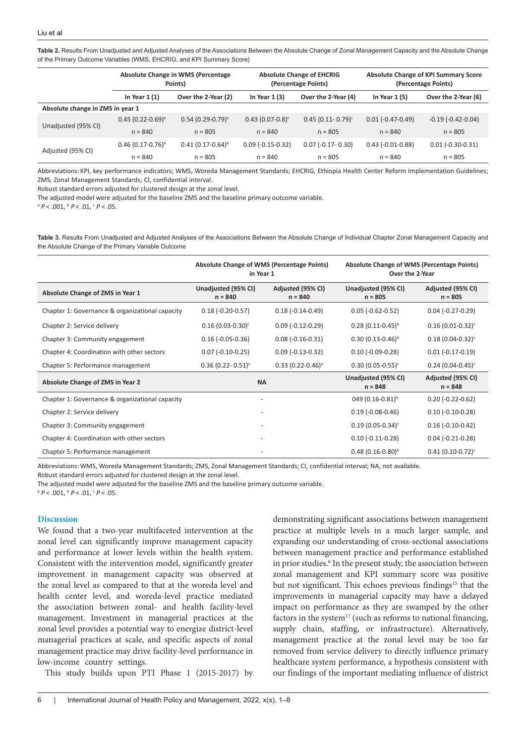<span id="page-5-0"></span>**Table 2.** Results From Unadjusted and Adjusted Analyses of the Associations Between the Absolute Change of Zonal Management Capacity and the Absolute Change of the Primary Outcome Variables (WMS, EHCRIG, and KPI Summary Score)

|                                  |                       | Absolute Change in WMS (Percentage<br>Points) |                                       | <b>Absolute Change of EHCRIG</b><br>(Percentage Points) | <b>Absolute Change of KPI Summary Score</b><br>(Percentage Points) |                       |  |
|----------------------------------|-----------------------|-----------------------------------------------|---------------------------------------|---------------------------------------------------------|--------------------------------------------------------------------|-----------------------|--|
|                                  | In Year $1(1)$        | Over the 2-Year (2)                           | Over the 2-Year (4)<br>In Year $1(3)$ |                                                         | In Year $1(5)$                                                     | Over the 2-Year (6)   |  |
| Absolute change in ZMS in year 1 |                       |                                               |                                       |                                                         |                                                                    |                       |  |
| Unadjusted (95% CI)              | $0.45(0.22-0.69)^{a}$ | $0.54(0.29-0.79)^{a}$                         | $0.43(0.07-0.8)^c$                    | $0.45$ (0.11- 0.79) <sup>c</sup>                        | $0.01 (-0.47 - 0.49)$                                              | $-0.19(-0.42-0.04)$   |  |
|                                  | $n = 840$             | $n = 805$                                     | $n = 840$                             | $n = 805$                                               | $n = 840$                                                          | $n = 805$             |  |
| Adjusted (95% CI)                | $0.46(0.17-0.76)^{b}$ | $0.41(0.17-0.64)^{b}$                         | $0.09$ ( $-0.15 - 0.32$ )             | $0.07$ (-0.17- $0.30$ )                                 | $0.43$ (-0.01-0.88)                                                | $0.01 (-0.30 - 0.31)$ |  |
|                                  | $n = 840$             | $n = 805$                                     | $n = 840$                             | $n = 805$                                               | $n = 840$                                                          | $n = 805$             |  |

Abbreviations: KPI, key performance indicators; WMS, Woreda Management Standards; EHCRIG, Ethiopia Health Center Reform Implementation Guidelines; ZMS, Zonal Management Standards; CI, confidential interval.

Robust standard errors adjusted for clustered design at the zonal level.

The adjusted model were adjusted for the baseline ZMS and the baseline primary outcome variable.

<sup>a</sup> *P* < .001, <sup>b</sup> *P* < .01, c *P* < .05.

<span id="page-5-1"></span>**Table 3.** Results From Unadjusted and Adjusted Analyses of the Associations Between the Absolute Change of Individual Chapter Zonal Management Capacity and the Absolute Change of the Primary Variable Outcome

|                                                 | Absolute Change of WMS (Percentage Points)<br>in Year 1 |                                 | Absolute Change of WMS (Percentage Points)<br>Over the 2-Year |                                |  |  |
|-------------------------------------------------|---------------------------------------------------------|---------------------------------|---------------------------------------------------------------|--------------------------------|--|--|
| Absolute Change of ZMS in Year 1                | Unadjusted (95% CI)<br>$n = 840$                        | Adjusted (95% CI)<br>$n = 840$  | Unadjusted (95% CI)<br>$n = 805$                              | Adjusted (95% CI)<br>$n = 805$ |  |  |
| Chapter 1: Governance & organizational capacity | $0.18(-0.20-0.57)$                                      | $0.18(-0.14-0.49)$              | $0.05 (-0.62 - 0.52)$                                         | $0.04 (-0.27 - 0.29)$          |  |  |
| Chapter 2: Service delivery                     | $0.16(0.03 - 0.30)^c$                                   | $0.09$ (-0.12-0.29)             | $0.28(0.11-0.45)^{b}$                                         | $0.16(0.01 - 0.32)^c$          |  |  |
| Chapter 3: Community engagement                 | $0.16(-0.05-0.36)$                                      | $0.08(-0.16-0.31)$              | $0.30(0.13 - 0.46)^{b}$                                       | $0.18(0.04 - 0.32)^c$          |  |  |
| Chapter 4: Coordination with other sectors      | $0.07 (-0.10 - 0.25)$                                   | $0.09$ ( $-0.13 - 0.32$ )       | $0.10 (-0.09 - 0.28)$                                         | $0.01 (-0.17 - 0.19)$          |  |  |
| Chapter 5: Performance management               | $0.36$ (0.22- $0.51$ ) <sup>a</sup>                     | $0.33$ (0.22-0.46) <sup>a</sup> | $0.30(0.05 - 0.55)^c$                                         | $0.24(0.04 - 0.45)^c$          |  |  |
| Absolute Change of ZMS in Year 2                | <b>NA</b>                                               |                                 | Unadjusted (95% CI)<br>$n = 848$                              | Adjusted (95% CI)<br>$n = 848$ |  |  |
| Chapter 1: Governance & organizational capacity | ٠                                                       |                                 | 049 (0.16-0.81) <sup>b</sup>                                  | $0.20$ (-0.22-0.62)            |  |  |
| Chapter 2: Service delivery                     |                                                         |                                 | $0.19(-0.08-0.46)$                                            | $0.10 (-0.10 - 0.28)$          |  |  |
| Chapter 3: Community engagement                 |                                                         |                                 | $0.19(0.05 - 0.34)^c$                                         | $0.16(-0.10-0.42)$             |  |  |
| Chapter 4: Coordination with other sectors      |                                                         |                                 | $0.10 (-0.11 - 0.28)$                                         | $0.04$ ( $-0.21 - 0.28$ )      |  |  |
| Chapter 5: Performance management               |                                                         |                                 | $0.48(0.16 - 0.80)^{b}$                                       | $0.41(0.10-0.72)^c$            |  |  |

Abbreviations:WMS, Woreda Management Standards; ZMS, Zonal Management Standards; CI, confidential interval; NA, not available.

Robust standard errors adjusted for clustered design at the zonal level.

The adjusted model were adjusted for the baseline ZMS and the baseline primary outcome variable.

<sup>a</sup> *P* < .001, <sup>b</sup> *P* < .01, c *P* < .05.

## **Discussion**

We found that a two-year multifaceted intervention at the zonal level can significantly improve management capacity and performance at lower levels within the health system. Consistent with the intervention model, significantly greater improvement in management capacity was observed at the zonal level as compared to that at the woreda level and health center level, and woreda-level practice mediated the association between zonal- and health facility-level management. Investment in managerial practices at the zonal level provides a potential way to energize district-level managerial practices at scale, and specific aspects of zonal management practice may drive facility-level performance in low-income country settings.

This study builds upon PTI Phase 1 (2015-2017) by

demonstrating significant associations between management practice at multiple levels in a much larger sample, and expanding our understanding of cross-sectional associations between management practice and performance established in prior studies.<sup>6</sup> In the present study, the association between zonal management and KPI summary score was positive but not significant. This echoes previous findings<sup>15</sup> that the improvements in managerial capacity may have a delayed impact on performance as they are swamped by the other factors in the system<sup>17</sup> (such as reforms to national financing, supply chain, staffing, or infrastructure). Alternatively, management practice at the zonal level may be too far removed from service delivery to directly influence primary healthcare system performance, a hypothesis consistent with our findings of the important mediating influence of district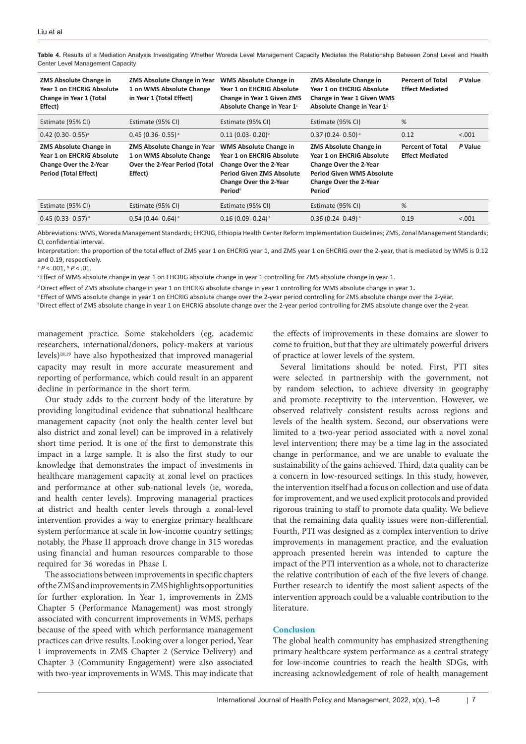<span id="page-6-0"></span>Table 4. Results of a Mediation Analysis Investigating Whether Woreda Level Management Capacity Mediates the Relationship Between Zonal Level and Health Center Level Management Capacity

| <b>ZMS Absolute Change in</b><br>Year 1 on EHCRIG Absolute<br>Change in Year 1 (Total<br>Effect)                     | ZMS Absolute Change in Year<br>1 on WMS Absolute Change<br>in Year 1 (Total Effect)                        | <b>WMS Absolute Change in</b><br>Year 1 on EHCRIG Absolute<br>Change in Year 1 Given ZMS<br>Absolute Change in Year 1 <sup>c</sup>                                                      | <b>ZMS Absolute Change in</b><br>Year 1 on EHCRIG Absolute<br>Change in Year 1 Given WMS<br>Absolute Change in Year 1 <sup>d</sup>                                               | <b>Percent of Total</b><br><b>Effect Mediated</b> | P Value |
|----------------------------------------------------------------------------------------------------------------------|------------------------------------------------------------------------------------------------------------|-----------------------------------------------------------------------------------------------------------------------------------------------------------------------------------------|----------------------------------------------------------------------------------------------------------------------------------------------------------------------------------|---------------------------------------------------|---------|
| Estimate (95% CI)                                                                                                    | Estimate (95% CI)                                                                                          | Estimate (95% CI)                                                                                                                                                                       | Estimate (95% CI)                                                                                                                                                                | %                                                 |         |
| $0.42$ (0.30- 0.55) <sup>a</sup>                                                                                     | $0.45$ (0.36- 0.55) <sup>a</sup>                                                                           | $0.11$ (0.03- 0.20) <sup>b</sup>                                                                                                                                                        | $0.37$ (0.24- 0.50) <sup>a</sup>                                                                                                                                                 | 0.12                                              | < .001  |
| <b>ZMS Absolute Change in</b><br>Year 1 on EHCRIG Absolute<br>Change Over the 2-Year<br><b>Period (Total Effect)</b> | <b>ZMS Absolute Change in Year</b><br>1 on WMS Absolute Change<br>Over the 2-Year Period (Total<br>Effect) | <b>WMS Absolute Change in</b><br><b>Year 1 on EHCRIG Absolute</b><br>Change Over the 2-Year<br><b>Period Given ZMS Absolute</b><br><b>Change Over the 2-Year</b><br>Period <sup>e</sup> | <b>ZMS Absolute Change in</b><br>Year 1 on EHCRIG Absolute<br><b>Change Over the 2-Year</b><br><b>Period Given WMS Absolute</b><br>Change Over the 2-Year<br>Period <sup>®</sup> | <b>Percent of Total</b><br><b>Effect Mediated</b> | P Value |
| Estimate (95% CI)                                                                                                    | Estimate (95% CI)                                                                                          | Estimate (95% CI)                                                                                                                                                                       | Estimate (95% CI)                                                                                                                                                                | %                                                 |         |
| $0.45(0.33 - 0.57)^{a}$                                                                                              | $0.54$ (0.44- 0.64) <sup>a</sup>                                                                           | $0.16$ (0.09- $0.24$ ) <sup>a</sup>                                                                                                                                                     | $0.36$ (0.24- 0.49) <sup>a</sup>                                                                                                                                                 | 0.19                                              | < .001  |

Abbreviations:WMS, Woreda Management Standards; EHCRIG, Ethiopia Health Center Reform Implementation Guidelines; ZMS, Zonal Management Standards; CI, confidential interval.

Interpretation: the proportion of the total effect of ZMS year 1 on EHCRIG year 1, and ZMS year 1 on EHCRIG over the 2-year, that is mediated by WMS is 0.12 and 0.19, respectively.

<sup>a</sup> *P* < .001, <sup>b</sup> *P* < .01.<br><sup>c</sup> Effect of WMS absolute change in year 1 on EHCRIG absolute change in year 1 controlling for ZMS absolute change in year 1.

d Direct effect of ZMS absolute change in year 1 on EHCRIG absolute change in year 1 controlling for WMS absolute change in year 1.

e Effect of WMS absolute change in year 1 on EHCRIG absolute change over the 2-year period controlling for ZMS absolute change over the 2-year.

f Direct effect of ZMS absolute change in year 1 on EHCRIG absolute change over the 2-year period controlling for ZMS absolute change over the 2-year.

management practice. Some stakeholders (eg, academic researchers, international/donors, policy-makers at various levels)18,19 have also hypothesized that improved managerial capacity may result in more accurate measurement and reporting of performance, which could result in an apparent decline in performance in the short term.

Our study adds to the current body of the literature by providing longitudinal evidence that subnational healthcare management capacity (not only the health center level but also district and zonal level) can be improved in a relatively short time period. It is one of the first to demonstrate this impact in a large sample. It is also the first study to our knowledge that demonstrates the impact of investments in healthcare management capacity at zonal level on practices and performance at other sub-national levels (ie, woreda, and health center levels). Improving managerial practices at district and health center levels through a zonal-level intervention provides a way to energize primary healthcare system performance at scale in low-income country settings; notably, the Phase II approach drove change in 315 woredas using financial and human resources comparable to those required for 36 woredas in Phase I.

The associations between improvements in specific chapters of the ZMS and improvements in ZMS highlights opportunities for further exploration. In Year 1, improvements in ZMS Chapter 5 (Performance Management) was most strongly associated with concurrent improvements in WMS, perhaps because of the speed with which performance management practices can drive results. Looking over a longer period, Year 1 improvements in ZMS Chapter 2 (Service Delivery) and Chapter 3 (Community Engagement) were also associated with two-year improvements in WMS. This may indicate that the effects of improvements in these domains are slower to come to fruition, but that they are ultimately powerful drivers of practice at lower levels of the system.

Several limitations should be noted. First, PTI sites were selected in partnership with the government, not by random selection, to achieve diversity in geography and promote receptivity to the intervention. However, we observed relatively consistent results across regions and levels of the health system. Second, our observations were limited to a two-year period associated with a novel zonal level intervention; there may be a time lag in the associated change in performance, and we are unable to evaluate the sustainability of the gains achieved. Third, data quality can be a concern in low-resourced settings. In this study, however, the intervention itself had a focus on collection and use of data for improvement, and we used explicit protocols and provided rigorous training to staff to promote data quality. We believe that the remaining data quality issues were non-differential. Fourth, PTI was designed as a complex intervention to drive improvements in management practice, and the evaluation approach presented herein was intended to capture the impact of the PTI intervention as a whole, not to characterize the relative contribution of each of the five levers of change. Further research to identify the most salient aspects of the intervention approach could be a valuable contribution to the literature.

### **Conclusion**

The global health community has emphasized strengthening primary healthcare system performance as a central strategy for low-income countries to reach the health SDGs, with increasing acknowledgement of role of health management